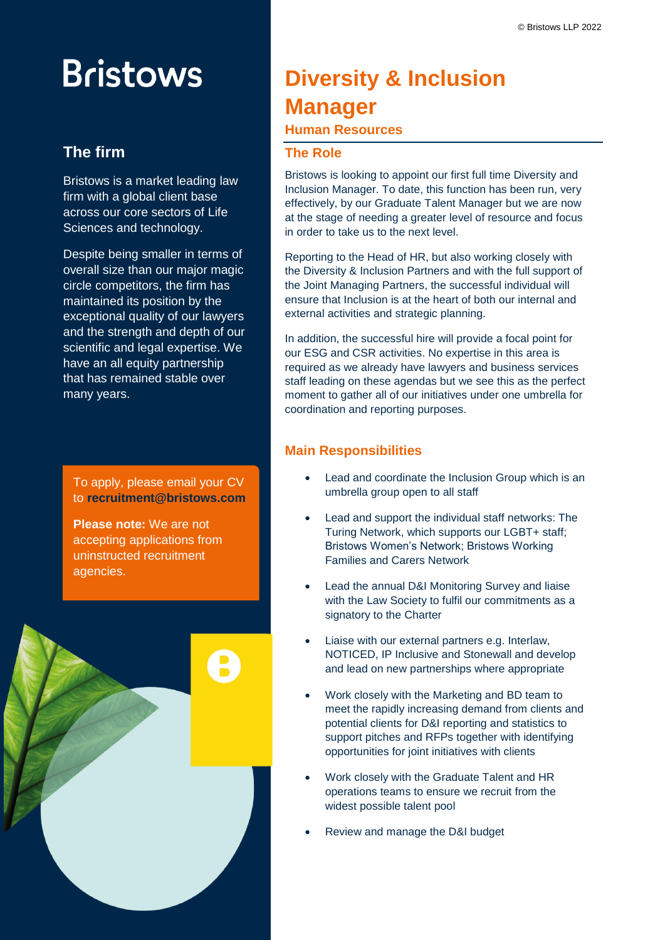# **Bristows**

# **The firm**

Bristows is a market leading law firm with a global client base across our core sectors of Life Sciences and technology.

Despite being smaller in terms of overall size than our major magic circle competitors, the firm has maintained its position by the exceptional quality of our lawyers and the strength and depth of our scientific and legal expertise. We have an all equity partnership that has remained stable over many years.

To apply, please email your CV to **recruitment@bristows.com**

**Please note:** We are not accepting applications from uninstructed recruitment agencies.



# **Diversity & Inclusion Manager**

# **Human Resources**

## **The Role**

Bristows is looking to appoint our first full time Diversity and Inclusion Manager. To date, this function has been run, very effectively, by our Graduate Talent Manager but we are now at the stage of needing a greater level of resource and focus in order to take us to the next level.

Reporting to the Head of HR, but also working closely with the Diversity & Inclusion Partners and with the full support of the Joint Managing Partners, the successful individual will ensure that Inclusion is at the heart of both our internal and external activities and strategic planning.

In addition, the successful hire will provide a focal point for our ESG and CSR activities. No expertise in this area is required as we already have lawyers and business services staff leading on these agendas but we see this as the perfect moment to gather all of our initiatives under one umbrella for coordination and reporting purposes.

# **Main Responsibilities**

- Lead and coordinate the Inclusion Group which is an umbrella group open to all staff
- Lead and support the individual staff networks: The Turing Network, which supports our LGBT+ staff; Bristows Women's Network; Bristows Working Families and Carers Network
- Lead the annual D&I Monitoring Survey and liaise with the Law Society to fulfil our commitments as a signatory to the Charter
- Liaise with our external partners e.g. Interlaw, NOTICED, IP Inclusive and Stonewall and develop and lead on new partnerships where appropriate
- Work closely with the Marketing and BD team to meet the rapidly increasing demand from clients and potential clients for D&I reporting and statistics to support pitches and RFPs together with identifying opportunities for joint initiatives with clients
- Work closely with the Graduate Talent and HR operations teams to ensure we recruit from the widest possible talent pool
- Review and manage the D&I budget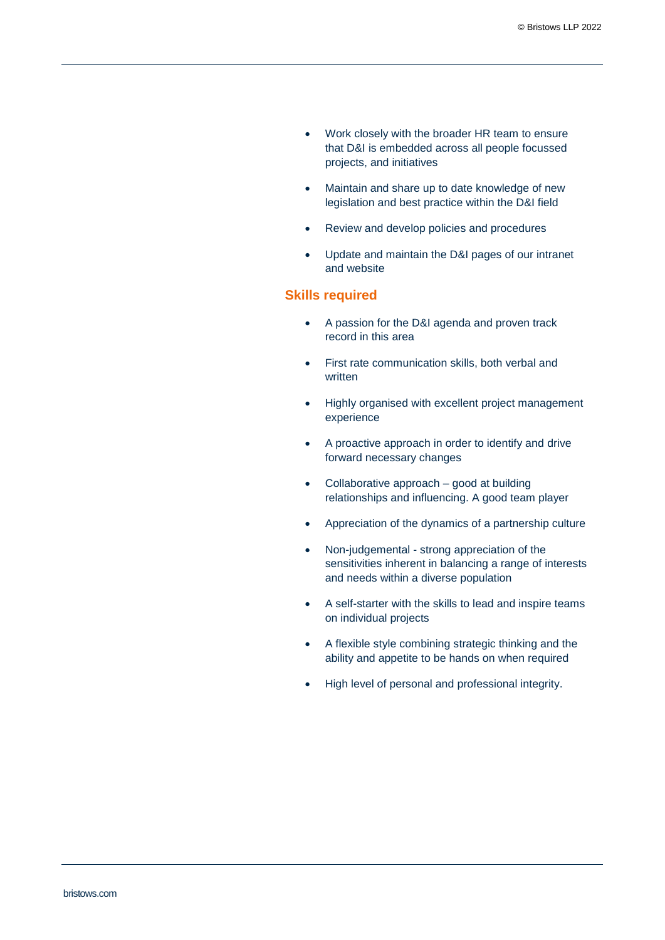- Work closely with the broader HR team to ensure that D&I is embedded across all people focussed projects, and initiatives
- Maintain and share up to date knowledge of new legislation and best practice within the D&I field
- Review and develop policies and procedures
- Update and maintain the D&I pages of our intranet and website

#### **Skills required**

- A passion for the D&I agenda and proven track record in this area
- First rate communication skills, both verbal and written
- Highly organised with excellent project management experience
- A proactive approach in order to identify and drive forward necessary changes
- Collaborative approach good at building relationships and influencing. A good team player
- Appreciation of the dynamics of a partnership culture
- Non-judgemental strong appreciation of the sensitivities inherent in balancing a range of interests and needs within a diverse population
- A self-starter with the skills to lead and inspire teams on individual projects
- A flexible style combining strategic thinking and the ability and appetite to be hands on when required
- High level of personal and professional integrity.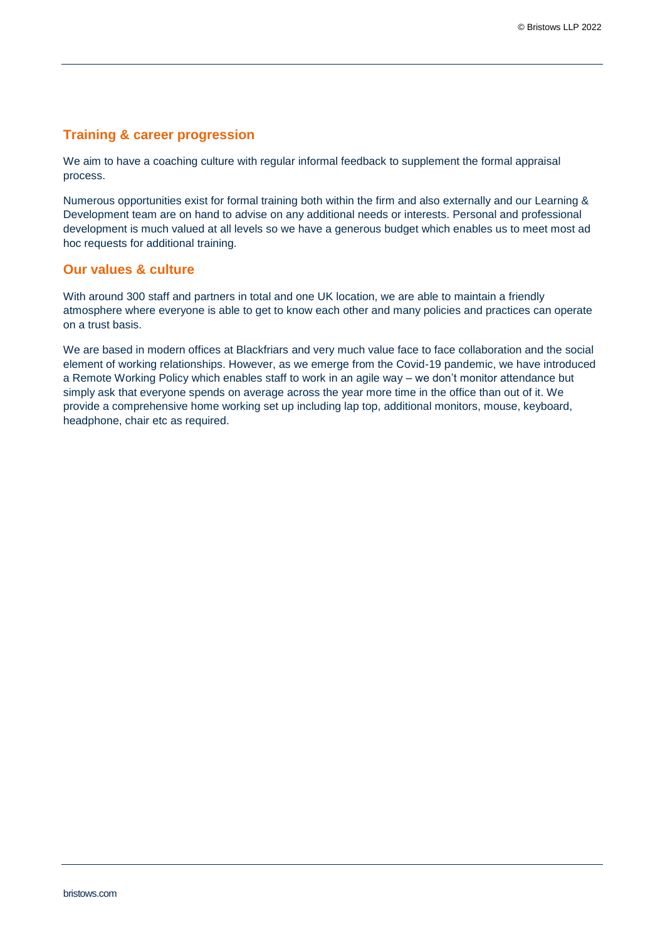### **Training & career progression**

We aim to have a coaching culture with regular informal feedback to supplement the formal appraisal process.

Numerous opportunities exist for formal training both within the firm and also externally and our Learning & Development team are on hand to advise on any additional needs or interests. Personal and professional development is much valued at all levels so we have a generous budget which enables us to meet most ad hoc requests for additional training.

#### **Our values & culture**

With around 300 staff and partners in total and one UK location, we are able to maintain a friendly atmosphere where everyone is able to get to know each other and many policies and practices can operate on a trust basis.

We are based in modern offices at Blackfriars and very much value face to face collaboration and the social element of working relationships. However, as we emerge from the Covid-19 pandemic, we have introduced a Remote Working Policy which enables staff to work in an agile way – we don't monitor attendance but simply ask that everyone spends on average across the year more time in the office than out of it. We provide a comprehensive home working set up including lap top, additional monitors, mouse, keyboard, headphone, chair etc as required.